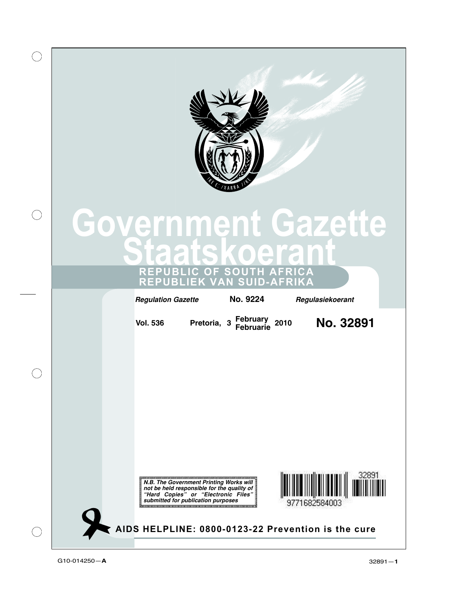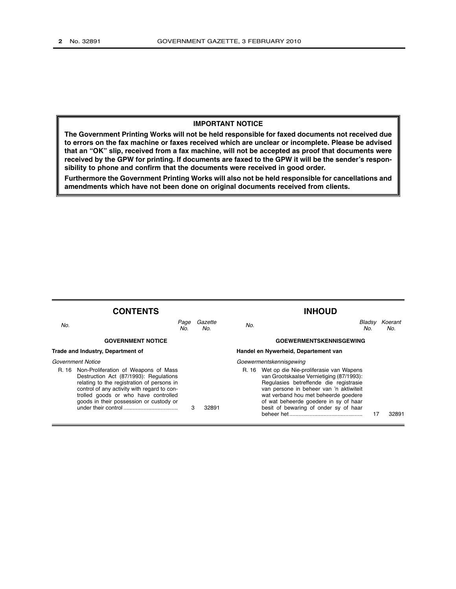#### **IMPORTANT NOTICE**

**The Government Printing Works will not be held responsible for faxed documents not received due to errors on the fax machine or faxes received which are unclear or incomplete. Please be advised that an "OK" slip, received from a fax machine, will not be accepted as proof that documents were received by the GPW for printing. If documents are faxed to the GPW it will be the sender's responsibility to phone and confirm that the documents were received in good order.**

**Furthermore the Government Printing Works will also not be held responsible for cancellations and amendments which have not been done on original documents received from clients.**

|       | <b>CONTENTS</b>                                                                                                                                                                                                                                                |             |                |       | <b>INHOUD</b>                                                                                                                                                                                                                                                                                     |               |                |
|-------|----------------------------------------------------------------------------------------------------------------------------------------------------------------------------------------------------------------------------------------------------------------|-------------|----------------|-------|---------------------------------------------------------------------------------------------------------------------------------------------------------------------------------------------------------------------------------------------------------------------------------------------------|---------------|----------------|
| No.   |                                                                                                                                                                                                                                                                | Page<br>No. | Gazette<br>No. | No.   |                                                                                                                                                                                                                                                                                                   | Bladsy<br>No. | Koerant<br>No. |
|       | <b>GOVERNMENT NOTICE</b>                                                                                                                                                                                                                                       |             |                |       | <b>GOEWERMENTSKENNISGEWING</b>                                                                                                                                                                                                                                                                    |               |                |
|       | Trade and Industry, Department of                                                                                                                                                                                                                              |             |                |       | Handel en Nywerheid, Departement van                                                                                                                                                                                                                                                              |               |                |
|       | Government Notice                                                                                                                                                                                                                                              |             |                |       | Goewermentskennisgewing                                                                                                                                                                                                                                                                           |               |                |
| R. 16 | Non-Proliferation of Weapons of Mass<br>Destruction Act (87/1993): Regulations<br>relating to the registration of persons in<br>control of any activity with regard to con-<br>trolled goods or who have controlled<br>goods in their possession or custody or | 3           | 32891          | R. 16 | Wet op die Nie-proliferasie van Wapens<br>van Grootskaalse Vernietiging (87/1993):<br>Regulasies betreffende die registrasie<br>van persone in beheer van 'n aktiwiteit<br>wat verband hou met beheerde goedere<br>of wat beheerde goedere in sy of haar<br>besit of bewaring of onder sy of haar |               | 32891          |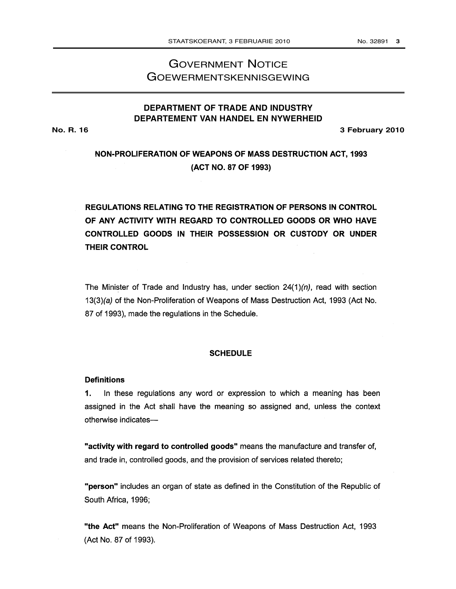# GOVERNMENT NOTICE GOEWERMENTSKENNISGEWING

## **DEPARTMENT OF TRADE AND INDUSTRY DEPARTEMENT VAN HANDEL EN NYWERHEID**

**No. R. 16 3 February 2010**

# NON-PROLIFERATION OF WEAPONS OF MASS DESTRUCTION ACT, 1993 (ACT NO. 87 OF 1993)

# **REGULATIONS RELATING TO THE REGISTRATION OF PERSONS IN CONTROL** OF ANY ACTIVITY WITH REGARD TO CONTROLLED GOODS OR WHO HAVE CONTROLLED GOODS IN THEIR POSSESSION OR CUSTODY OR UNDER **THEIR CONTROL**

The Minister of Trade and Industry has, under section  $24(1)(n)$ , read with section 13(3)(a) of the Non-Proliferation of Weapons of Mass Destruction Act, 1993 (Act No. 87 of 1993), made the regulations in the Schedule.

### **SCHEDULE**

### **Definitions**

1. In these regulations any word or expression to which a meaning has been assigned in the Act shall have the meaning so assigned and, unless the context otherwise indicates-

"activity with regard to controlled goods" means the manufacture and transfer of, and trade in, controlled goods, and the provision of services related thereto;

"person" includes an organ of state as defined in the Constitution of the Republic of South Africa, 1996;

"the Act" means the Non-Proliferation of Weapons of Mass Destruction Act, 1993 (Act No. 87 of 1993).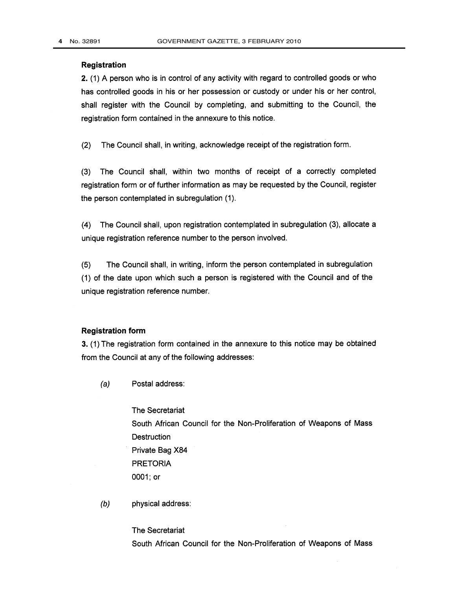### Registration

2. (1) A person who is in control of any activity with regard to controlled goods or who has controlled goods in his or her possession or custody or under his or her control, shall register with the Council by completing, and submitting to the Council, the registration form contained in the annexure to this notice.

 $(2)$ The Council shall, in writing, acknowledge receipt of the registration form.

The Council shall, within two months of receipt of a correctly completed  $(3)$ registration form or of further information as may be requested by the Council, register the person contemplated in subregulation (1).

The Council shall, upon registration contemplated in subregulation (3), allocate a  $\mathcal{A}$ unique registration reference number to the person involved.

 $(5)$ The Council shall, in writing, inform the person contemplated in subregulation (1) of the date upon which such a person is registered with the Council and of the unique registration reference number.

## **Registration form**

3. (1) The registration form contained in the annexure to this notice may be obtained from the Council at any of the following addresses:

 $(a)$ Postal address:

> The Secretariat South African Council for the Non-Proliferation of Weapons of Mass Destruction Private Bag X84 **PRETORIA** 0001; or

 $(b)$ physical address:

> **The Secretariat** South African Council for the Non-Proliferation of Weapons of Mass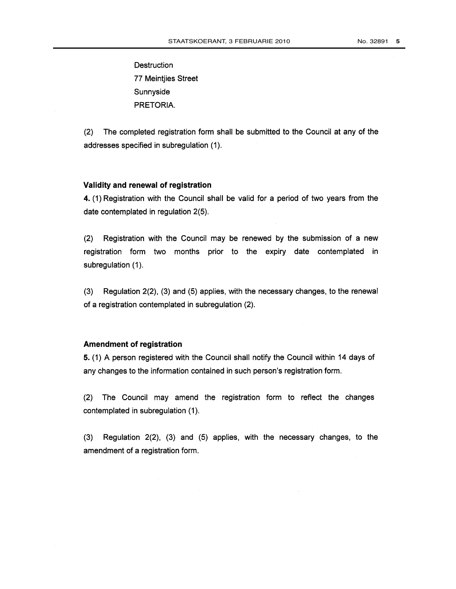**Destruction 77 Meintjies Street** Sunnyside PRETORIA.

 $(2)$ The completed registration form shall be submitted to the Council at any of the addresses specified in subregulation (1).

### Validity and renewal of registration

4. (1) Registration with the Council shall be valid for a period of two years from the date contemplated in regulation 2(5).

Registration with the Council may be renewed by the submission of a new  $(2)$ registration form two months prior to the expiry date contemplated in subregulation (1).

Regulation 2(2), (3) and (5) applies, with the necessary changes, to the renewal  $(3)$ of a registration contemplated in subregulation (2).

## **Amendment of registration**

5. (1) A person registered with the Council shall notify the Council within 14 days of any changes to the information contained in such person's registration form.

 $(2)$ The Council may amend the registration form to reflect the changes contemplated in subregulation (1).

Regulation 2(2), (3) and (5) applies, with the necessary changes, to the  $(3)$ amendment of a registration form.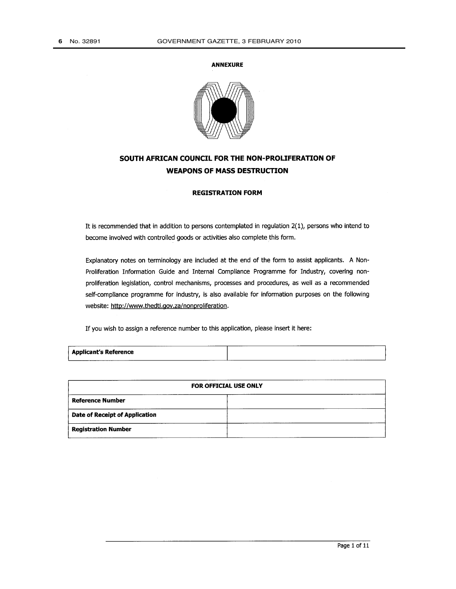#### **ANNEXURE**



## SOUTH AFRICAN COUNCIL FOR THE NON-PROLIFERATION OF **WEAPONS OF MASS DESTRUCTION**

## **REGISTRATION FORM**

It is recommended that in addition to persons contemplated in regulation 2(1), persons who intend to become involved with controlled goods or activities also complete this form.

Explanatory notes on terminology are included at the end of the form to assist applicants. A Non-Proliferation Information Guide and Internal Compliance Programme for Industry, covering nonproliferation legislation, control mechanisms, processes and procedures, as well as a recommended self-compliance programme for industry, is also available for information purposes on the following website: http://www.thedti.gov.za/nonproliferation.

If you wish to assign a reference number to this application, please insert it here:

| <b>Applicant's Reference</b> | ----------<br>____________________ |  |
|------------------------------|------------------------------------|--|
|                              |                                    |  |

|                                | <b>FOR OFFICIAL USE ONLY</b> |  |  |  |  |  |
|--------------------------------|------------------------------|--|--|--|--|--|
| <b>Reference Number</b>        |                              |  |  |  |  |  |
| Date of Receipt of Application |                              |  |  |  |  |  |
| <b>Registration Number</b>     |                              |  |  |  |  |  |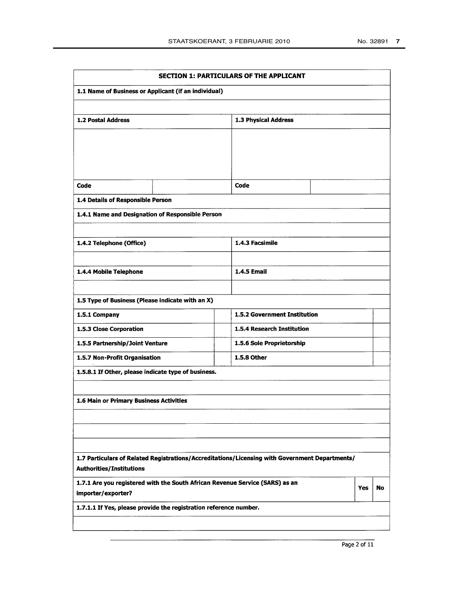|                                                                                                    | SECTION 1: PARTICULARS OF THE APPLICANT                                                        |            |    |
|----------------------------------------------------------------------------------------------------|------------------------------------------------------------------------------------------------|------------|----|
| 1.1 Name of Business or Applicant (if an individual)                                               |                                                                                                |            |    |
| 1.2 Postal Address                                                                                 | 1.3 Physical Address                                                                           |            |    |
|                                                                                                    |                                                                                                |            |    |
|                                                                                                    |                                                                                                |            |    |
|                                                                                                    |                                                                                                |            |    |
|                                                                                                    |                                                                                                |            |    |
| Code                                                                                               | Code                                                                                           |            |    |
| 1.4 Details of Responsible Person                                                                  |                                                                                                |            |    |
| 1.4.1 Name and Designation of Responsible Person                                                   |                                                                                                |            |    |
|                                                                                                    |                                                                                                |            |    |
| 1.4.2 Telephone (Office)                                                                           | 1.4.3 Facsimile                                                                                |            |    |
|                                                                                                    |                                                                                                |            |    |
| 1.4.4 Mobile Telephone                                                                             | <b>1.4.5 Email</b>                                                                             |            |    |
|                                                                                                    |                                                                                                |            |    |
| 1.5 Type of Business (Please indicate with an X)                                                   |                                                                                                |            |    |
| 1.5.1 Company                                                                                      | 1.5.2 Government Institution                                                                   |            |    |
| 1.5.3 Close Corporation                                                                            | 1.5.4 Research Institution                                                                     |            |    |
| 1.5.5 Partnership/Joint Venture                                                                    | 1.5.6 Sole Proprietorship                                                                      |            |    |
| 1.5.7 Non-Profit Organisation                                                                      | 1.5.8 Other                                                                                    |            |    |
| 1.5.8.1 If Other, please indicate type of business.                                                |                                                                                                |            |    |
|                                                                                                    |                                                                                                |            |    |
| 1.6 Main or Primary Business Activities                                                            |                                                                                                |            |    |
|                                                                                                    |                                                                                                |            |    |
|                                                                                                    |                                                                                                |            |    |
|                                                                                                    |                                                                                                |            |    |
| <b>Authorities/Institutions</b>                                                                    | 1.7 Particulars of Related Registrations/Accreditations/Licensing with Government Departments/ |            |    |
| 1.7.1 Are you registered with the South African Revenue Service (SARS) as an<br>importer/exporter? |                                                                                                | <b>Yes</b> | No |
| 1.7.1.1 If Yes, please provide the registration reference number.                                  |                                                                                                |            |    |
|                                                                                                    |                                                                                                |            |    |
|                                                                                                    |                                                                                                |            |    |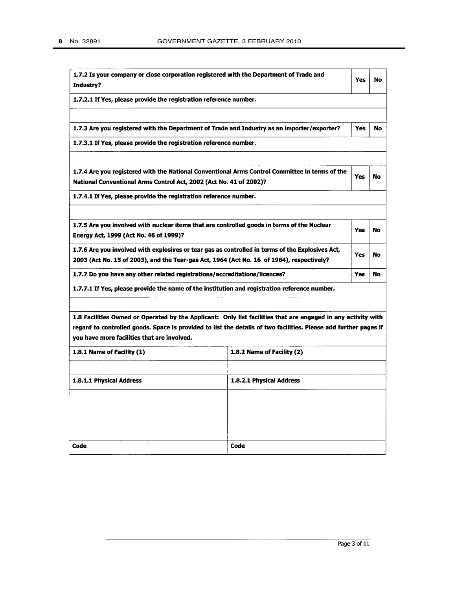| Industry?                                   |                                                                            | 1.7.2 Is your company or close corporation registered with the Department of Trade and                                                                                                                                            | Yes        | No        |
|---------------------------------------------|----------------------------------------------------------------------------|-----------------------------------------------------------------------------------------------------------------------------------------------------------------------------------------------------------------------------------|------------|-----------|
|                                             | 1.7.2.1 If Yes, please provide the registration reference number.          |                                                                                                                                                                                                                                   |            |           |
|                                             |                                                                            | 1.7.3 Are you registered with the Department of Trade and Industry as an importer/exporter?                                                                                                                                       | <b>Yes</b> | <b>No</b> |
|                                             | 1.7.3.1 If Yes, please provide the registration reference number.          |                                                                                                                                                                                                                                   |            |           |
|                                             | National Conventional Arms Control Act, 2002 (Act No. 41 of 2002)?         | 1.7.4 Are you registered with the National Conventional Arms Control Committee in terms of the                                                                                                                                    | Yes        | No        |
|                                             | 1.7.4.1 If Yes, please provide the registration reference number.          |                                                                                                                                                                                                                                   |            |           |
| Energy Act, 1999 (Act No. 46 of 1999)?      |                                                                            | 1.7.5 Are you involved with nuclear items that are controlled goods in terms of the Nuclear                                                                                                                                       | Yes        | <b>No</b> |
|                                             |                                                                            | 1.7.6 Are you involved with explosives or tear gas as controlled in terms of the Explosives Act,<br>2003 (Act No. 15 of 2003), and the Tear-gas Act, 1964 (Act No. 16 of 1964), respectively?                                     | Yes        | No        |
|                                             | 1.7.7 Do you have any other related registrations/accreditations/licences? |                                                                                                                                                                                                                                   | Yes        | No        |
|                                             |                                                                            | 1.7.7.1 If Yes, please provide the name of the institution and registration reference number.                                                                                                                                     |            |           |
| you have more facilities that are involved. |                                                                            | 1.8 Facilities Owned or Operated by the Applicant: Only list facilities that are engaged in any activity with<br>regard to controlled goods. Space is provided to list the details of two facilities. Please add further pages if |            |           |
| 1.8.1 Name of Facility (1)                  |                                                                            | 1.8.2 Name of Facility (2)                                                                                                                                                                                                        |            |           |
| 1.8.1.1 Physical Address                    |                                                                            | 1.8.2.1 Physical Address                                                                                                                                                                                                          |            |           |
|                                             |                                                                            |                                                                                                                                                                                                                                   |            |           |
|                                             |                                                                            |                                                                                                                                                                                                                                   |            |           |
| Code                                        |                                                                            | Code                                                                                                                                                                                                                              |            |           |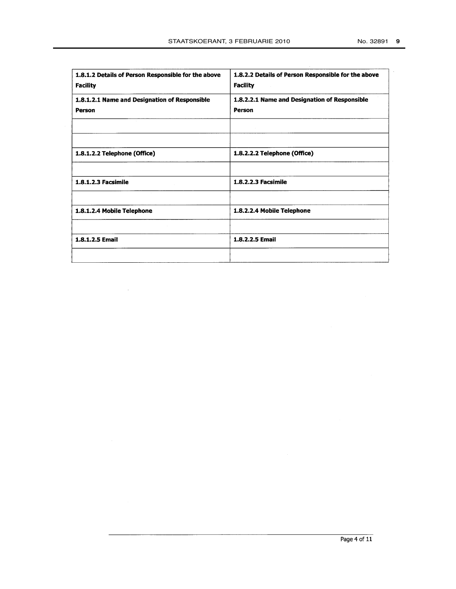| 1.8.1.2 Details of Person Responsible for the above<br><b>Facility</b> | 1.8.2.2 Details of Person Responsible for the above<br><b>Facility</b> |
|------------------------------------------------------------------------|------------------------------------------------------------------------|
| 1.8.1.2.1 Name and Designation of Responsible                          | 1.8.2.2.1 Name and Designation of Responsible                          |
| Person                                                                 | Person                                                                 |
|                                                                        |                                                                        |
|                                                                        |                                                                        |
| 1.8.1.2.2 Telephone (Office)                                           | 1.8.2.2.2 Telephone (Office)                                           |
|                                                                        |                                                                        |
| 1.8.1.2.3 Facsimile                                                    | 1.8.2.2.3 Facsimile                                                    |
|                                                                        |                                                                        |
| 1.8.1.2.4 Mobile Telephone                                             | 1.8.2.2.4 Mobile Telephone                                             |
|                                                                        |                                                                        |
| 1.8.1.2.5 Email                                                        | 1.8.2.2.5 Email                                                        |
|                                                                        |                                                                        |

 $\sim$   $\sim$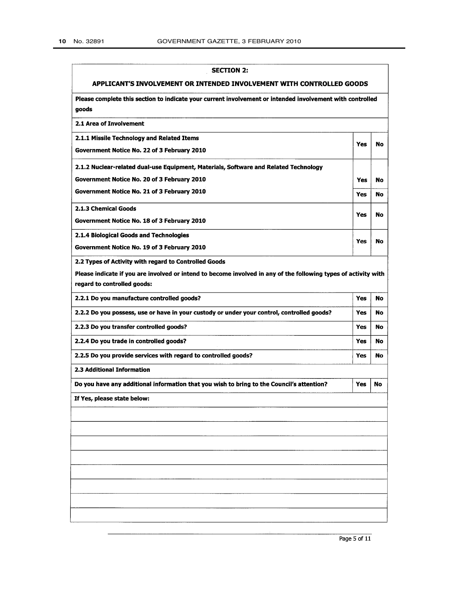| <b>SECTION 2:</b>                                                                                                  |            |    |
|--------------------------------------------------------------------------------------------------------------------|------------|----|
| APPLICANT'S INVOLVEMENT OR INTENDED INVOLVEMENT WITH CONTROLLED GOODS                                              |            |    |
| Please complete this section to indicate your current involvement or intended involvement with controlled<br>goods |            |    |
| 2.1 Area of Involvement                                                                                            |            |    |
| 2.1.1 Missile Technology and Related Items                                                                         | Yes        | No |
| Government Notice No. 22 of 3 February 2010                                                                        |            |    |
| 2.1.2 Nuclear-related dual-use Equipment, Materials, Software and Related Technology                               |            |    |
| Government Notice No. 20 of 3 February 2010                                                                        | Yes        | No |
| Government Notice No. 21 of 3 February 2010                                                                        | Yes        | No |
| 2.1.3 Chemical Goods                                                                                               | Yes        | No |
| Government Notice No. 18 of 3 February 2010                                                                        |            |    |
| 2.1.4 Biological Goods and Technologies                                                                            | Yes        | No |
| Government Notice No. 19 of 3 February 2010                                                                        |            |    |
| 2.2 Types of Activity with regard to Controlled Goods                                                              |            |    |
| Please indicate if you are involved or intend to become involved in any of the following types of activity with    |            |    |
| regard to controlled goods:                                                                                        |            |    |
| 2.2.1 Do you manufacture controlled goods?                                                                         | Yes        | No |
| 2.2.2 Do you possess, use or have in your custody or under your control, controlled goods?                         | <b>Yes</b> | No |
| 2.2.3 Do you transfer controlled goods?                                                                            | Yes        | No |
| 2.2.4 Do you trade in controlled goods?                                                                            | <b>Yes</b> | No |
| 2.2.5 Do you provide services with regard to controlled goods?                                                     | Yes        | No |
| 2.3 Additional Information                                                                                         |            |    |
| Do you have any additional information that you wish to bring to the Council's attention?                          | Yes        | No |
| If Yes, please state below:                                                                                        |            |    |
|                                                                                                                    |            |    |
|                                                                                                                    |            |    |
|                                                                                                                    |            |    |
|                                                                                                                    |            |    |
|                                                                                                                    |            |    |
|                                                                                                                    |            |    |
|                                                                                                                    |            |    |
|                                                                                                                    |            |    |
|                                                                                                                    |            |    |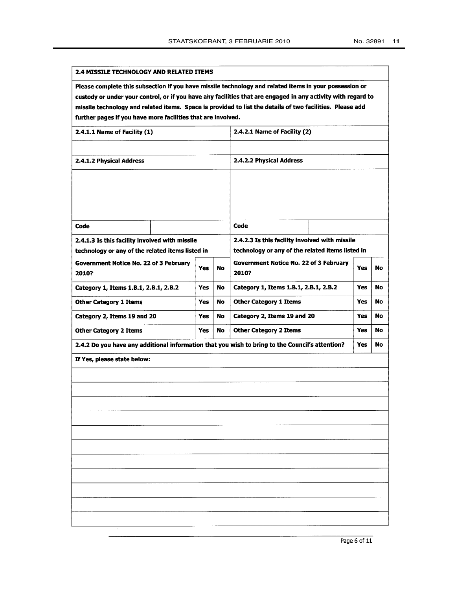#### 2.4 MISSILE TECHNOLOGY AND RELATED ITEMS

Please complete this subsection if you have missile technology and related items in your possession or custody or under your control, or if you have any facilities that are engaged in any activity with regard to missile technology and related items. Space is provided to list the details of two facilities. Please add further pages if you have more facilities that are involved.

| 2.4.1.1 Name of Facility (1)                                                                       |            |    | 2.4.2.1 Name of Facility (2)                                                                       |            |    |
|----------------------------------------------------------------------------------------------------|------------|----|----------------------------------------------------------------------------------------------------|------------|----|
|                                                                                                    |            |    |                                                                                                    |            |    |
| 2.4.1.2 Physical Address                                                                           |            |    | 2.4.2.2 Physical Address                                                                           |            |    |
|                                                                                                    |            |    |                                                                                                    |            |    |
|                                                                                                    |            |    |                                                                                                    |            |    |
|                                                                                                    |            |    |                                                                                                    |            |    |
| Code                                                                                               |            |    | Code                                                                                               |            |    |
|                                                                                                    |            |    |                                                                                                    |            |    |
| 2.4.1.3 Is this facility involved with missile<br>technology or any of the related items listed in |            |    | 2.4.2.3 Is this facility involved with missile<br>technology or any of the related items listed in |            |    |
| <b>Government Notice No. 22 of 3 February</b><br>2010?                                             | <b>Yes</b> | No | <b>Government Notice No. 22 of 3 February</b><br>2010?                                             | <b>Yes</b> | No |
| Category 1, Items 1.B.1, 2.B.1, 2.B.2                                                              | <b>Yes</b> | No | Category 1, Items 1.B.1, 2.B.1, 2.B.2                                                              | Yes        | No |
| <b>Other Category 1 Items</b>                                                                      | <b>Yes</b> | No | <b>Other Category 1 Items</b>                                                                      | <b>Yes</b> | No |
| Category 2, Items 19 and 20                                                                        | Yes        | No | Category 2, Items 19 and 20                                                                        | Yes.       | No |
| <b>Other Category 2 Items</b>                                                                      | <b>Yes</b> | No | <b>Other Category 2 Items</b>                                                                      | <b>Yes</b> | No |
| 2.4.2 Do you have any additional information that you wish to bring to the Council's attention?    |            |    |                                                                                                    | <b>Yes</b> | No |
| If Yes, please state below:                                                                        |            |    |                                                                                                    |            |    |
|                                                                                                    |            |    |                                                                                                    |            |    |
|                                                                                                    |            |    |                                                                                                    |            |    |
|                                                                                                    |            |    |                                                                                                    |            |    |
|                                                                                                    |            |    |                                                                                                    |            |    |
|                                                                                                    |            |    |                                                                                                    |            |    |
|                                                                                                    |            |    |                                                                                                    |            |    |
|                                                                                                    |            |    |                                                                                                    |            |    |
|                                                                                                    |            |    |                                                                                                    |            |    |
|                                                                                                    |            |    |                                                                                                    |            |    |
|                                                                                                    |            |    |                                                                                                    |            |    |
|                                                                                                    |            |    |                                                                                                    |            |    |
|                                                                                                    |            |    |                                                                                                    |            |    |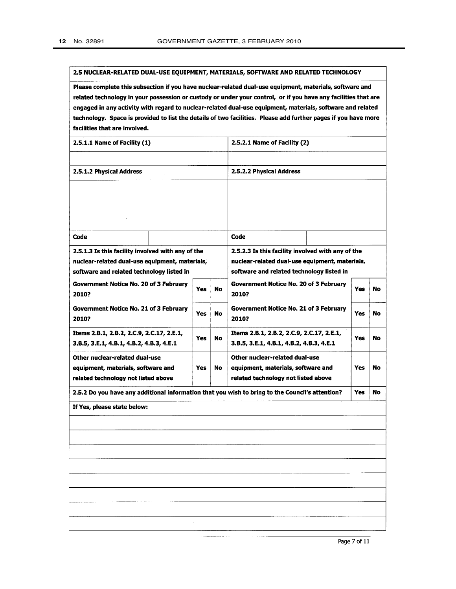#### 2.5 NUCLEAR-RELATED DUAL-USE EQUIPMENT, MATERIALS, SOFTWARE AND RELATED TECHNOLOGY

Please complete this subsection if you have nuclear-related dual-use equipment, materials, software and related technology in your possession or custody or under your control, or if you have any facilities that are engaged in any activity with regard to nuclear-related dual-use equipment, materials, software and related technology. Space is provided to list the details of two facilities. Please add further pages if you have more facilities that are involved.

| 2.5.1.1 Name of Facility (1)                                                                    |            |    | 2.5.2.1 Name of Facility (2)                           |            |    |
|-------------------------------------------------------------------------------------------------|------------|----|--------------------------------------------------------|------------|----|
|                                                                                                 |            |    |                                                        |            |    |
| 2.5.1.2 Physical Address                                                                        |            |    | 2.5.2.2 Physical Address                               |            |    |
|                                                                                                 |            |    |                                                        |            |    |
|                                                                                                 |            |    |                                                        |            |    |
|                                                                                                 |            |    |                                                        |            |    |
|                                                                                                 |            |    |                                                        |            |    |
| Code                                                                                            |            |    | Code                                                   |            |    |
| 2.5.1.3 Is this facility involved with any of the                                               |            |    | 2.5.2.3 Is this facility involved with any of the      |            |    |
| nuclear-related dual-use equipment, materials,                                                  |            |    | nuclear-related dual-use equipment, materials,         |            |    |
| software and related technology listed in                                                       |            |    | software and related technology listed in              |            |    |
| Government Notice No. 20 of 3 February<br>2010?                                                 | Yes        | No | Government Notice No. 20 of 3 February<br>2010?        | Yes        | No |
| <b>Government Notice No. 21 of 3 February</b><br>2010?                                          | <b>Yes</b> | No | <b>Government Notice No. 21 of 3 February</b><br>2010? | Yes        | No |
| Items 2.B.1, 2.B.2, 2.C.9, 2.C.17, 2.E.1,                                                       | Yes        | No | Items 2.B.1, 2.B.2, 2.C.9, 2.C.17, 2.E.1,              | <b>Yes</b> | No |
| 3.B.5, 3.E.1, 4.B.1, 4.B.2, 4.B.3, 4.E.1                                                        |            |    | 3.B.5, 3.E.1, 4.B.1, 4.B.2, 4.B.3, 4.E.1               |            |    |
| Other nuclear-related dual-use                                                                  |            |    | Other nuclear-related dual-use                         |            |    |
| equipment, materials, software and                                                              | Yes        | No | equipment, materials, software and                     | Yes        | No |
| related technology not listed above                                                             |            |    | related technology not listed above                    |            |    |
| 2.5.2 Do you have any additional information that you wish to bring to the Council's attention? |            |    |                                                        | Yes        | No |
| If Yes, please state below:                                                                     |            |    |                                                        |            |    |
|                                                                                                 |            |    |                                                        |            |    |
|                                                                                                 |            |    |                                                        |            |    |
|                                                                                                 |            |    |                                                        |            |    |
|                                                                                                 |            |    |                                                        |            |    |
|                                                                                                 |            |    |                                                        |            |    |
|                                                                                                 |            |    |                                                        |            |    |
|                                                                                                 |            |    |                                                        |            |    |
|                                                                                                 |            |    |                                                        |            |    |
|                                                                                                 |            |    |                                                        |            |    |

Page 7 of 11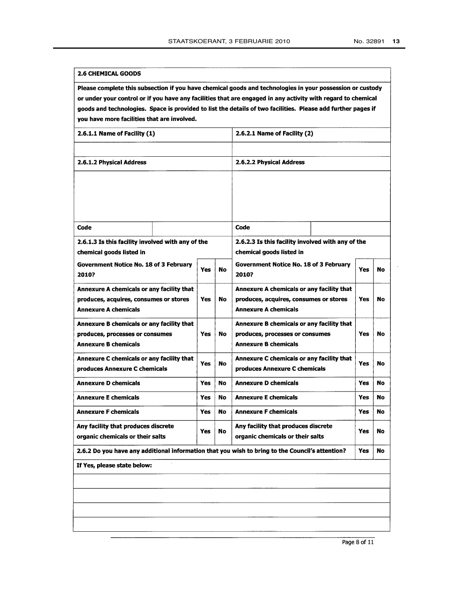#### 2.6 CHEMICAL GOODS

Please complete this subsection if you have chemical goods and technologies in your possession or custody or under your control or if you have any facilities that are engaged in any activity with regard to chemical goods and technologies. Space is provided to list the details of two facilities. Please add further pages if you have more facilities that are involved.

| 2.6.1.1 Name of Facility (1)                                                                    |            |     | 2.6.2.1 Name of Facility (2)                                                  |            |    |
|-------------------------------------------------------------------------------------------------|------------|-----|-------------------------------------------------------------------------------|------------|----|
|                                                                                                 |            |     |                                                                               |            |    |
| 2.6.1.2 Physical Address                                                                        |            |     | 2.6.2.2 Physical Address                                                      |            |    |
|                                                                                                 |            |     |                                                                               |            |    |
|                                                                                                 |            |     |                                                                               |            |    |
|                                                                                                 |            |     |                                                                               |            |    |
| Code                                                                                            |            |     | Code                                                                          |            |    |
|                                                                                                 |            |     |                                                                               |            |    |
| 2.6.1.3 Is this facility involved with any of the<br>chemical goods listed in                   |            |     | 2.6.2.3 Is this facility involved with any of the<br>chemical goods listed in |            |    |
|                                                                                                 |            |     |                                                                               |            |    |
| <b>Government Notice No. 18 of 3 February</b><br>2010?                                          | <b>Yes</b> | No  | <b>Government Notice No. 18 of 3 February</b><br>2010?                        | Yes        | No |
| Annexure A chemicals or any facility that                                                       |            |     | Annexure A chemicals or any facility that                                     |            |    |
| produces, acquires, consumes or stores                                                          | Yes        | No. | produces, acquires, consumes or stores                                        | Yes        | No |
| Annexure A chemicals                                                                            |            |     | <b>Annexure A chemicals</b>                                                   |            |    |
| Annexure B chemicals or any facility that                                                       |            |     | Annexure B chemicals or any facility that                                     |            |    |
| produces, processes or consumes<br><b>Annexure B chemicals</b>                                  | Yes        | No  | produces, processes or consumes<br><b>Annexure B chemicals</b>                | Yes        | No |
|                                                                                                 |            |     |                                                                               |            |    |
| Annexure C chemicals or any facility that<br>produces Annexure C chemicals                      | <b>Yes</b> | No  | Annexure C chemicals or any facility that<br>produces Annexure C chemicals    | Yes        | No |
| <b>Annexure D chemicals</b>                                                                     | Yes        | No  | <b>Annexure D chemicals</b>                                                   | <b>Yes</b> | No |
| <b>Annexure E chemicals</b>                                                                     | Yes        | No  | <b>Annexure E chemicals</b>                                                   | <b>Yes</b> | No |
| <b>Annexure F chemicals</b>                                                                     | Yes        | No. | <b>Annexure F chemicals</b>                                                   | <b>Yes</b> | No |
| Any facility that produces discrete                                                             | <b>Yes</b> | No  | Any facility that produces discrete                                           | <b>Yes</b> | No |
| organic chemicals or their salts                                                                |            |     | organic chemicals or their salts                                              |            |    |
| 2.6.2 Do you have any additional information that you wish to bring to the Council's attention? |            |     |                                                                               | Yes        | No |
| If Yes, please state below:                                                                     |            |     |                                                                               |            |    |
|                                                                                                 |            |     |                                                                               |            |    |
|                                                                                                 |            |     |                                                                               |            |    |
|                                                                                                 |            |     |                                                                               |            |    |
|                                                                                                 |            |     |                                                                               |            |    |
|                                                                                                 |            |     |                                                                               |            |    |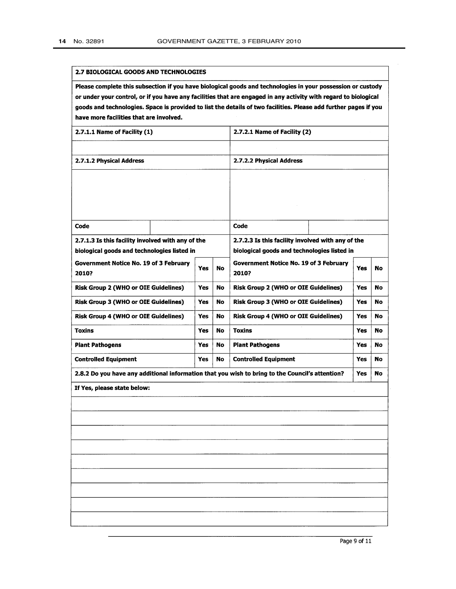#### 2.7 BIOLOGICAL GOODS AND TECHNOLOGIES

Please complete this subsection if you have biological goods and technologies in your possession or custody or under your control, or if you have any facilities that are engaged in any activity with regard to biological goods and technologies. Space is provided to list the details of two facilities. Please add further pages if you have more facilities that are involved.

| 2.7.1.1 Name of Facility (1)                                                                     |            |    | 2.7.2.1 Name of Facility (2)                                                                     |            |    |
|--------------------------------------------------------------------------------------------------|------------|----|--------------------------------------------------------------------------------------------------|------------|----|
|                                                                                                  |            |    |                                                                                                  |            |    |
| 2.7.1.2 Physical Address                                                                         |            |    | 2.7.2.2 Physical Address                                                                         |            |    |
|                                                                                                  |            |    |                                                                                                  |            |    |
|                                                                                                  |            |    |                                                                                                  |            |    |
|                                                                                                  |            |    |                                                                                                  |            |    |
|                                                                                                  |            |    | Code                                                                                             |            |    |
| Code                                                                                             |            |    |                                                                                                  |            |    |
| 2.7.1.3 Is this facility involved with any of the<br>biological goods and technologies listed in |            |    | 2.7.2.3 Is this facility involved with any of the<br>biological goods and technologies listed in |            |    |
| <b>Government Notice No. 19 of 3 February</b>                                                    |            |    | Government Notice No. 19 of 3 February                                                           |            |    |
| 2010?                                                                                            | <b>Yes</b> | No | 2010?                                                                                            | <b>Yes</b> | No |
| <b>Risk Group 2 (WHO or OIE Guidelines)</b>                                                      | <b>Yes</b> | No | <b>Risk Group 2 (WHO or OIE Guidelines)</b>                                                      | <b>Yes</b> | No |
| <b>Risk Group 3 (WHO or OIE Guidelines)</b>                                                      | Yes        | No | <b>Risk Group 3 (WHO or OIE Guidelines)</b>                                                      | Yes        | No |
| <b>Risk Group 4 (WHO or OIE Guidelines)</b>                                                      | <b>Yes</b> | No | <b>Risk Group 4 (WHO or OIE Guidelines)</b>                                                      | Yes        | No |
| <b>Toxins</b>                                                                                    | Yes        | No | <b>Toxins</b>                                                                                    | Yes        | No |
| <b>Plant Pathogens</b>                                                                           | Yes        | No | <b>Plant Pathogens</b>                                                                           | Yes        | No |
| <b>Controlled Equipment</b>                                                                      | Yes        | No | <b>Controlled Equipment</b>                                                                      | <b>Yes</b> | No |
| 2.8.2 Do you have any additional information that you wish to bring to the Council's attention?  |            |    |                                                                                                  | <b>Yes</b> | No |
| If Yes, please state below:                                                                      |            |    |                                                                                                  |            |    |
|                                                                                                  |            |    |                                                                                                  |            |    |
|                                                                                                  |            |    |                                                                                                  |            |    |
|                                                                                                  |            |    |                                                                                                  |            |    |
|                                                                                                  |            |    |                                                                                                  |            |    |
|                                                                                                  |            |    |                                                                                                  |            |    |
|                                                                                                  |            |    |                                                                                                  |            |    |
|                                                                                                  |            |    |                                                                                                  |            |    |
|                                                                                                  |            |    |                                                                                                  |            |    |
|                                                                                                  |            |    |                                                                                                  |            |    |
|                                                                                                  |            |    |                                                                                                  |            |    |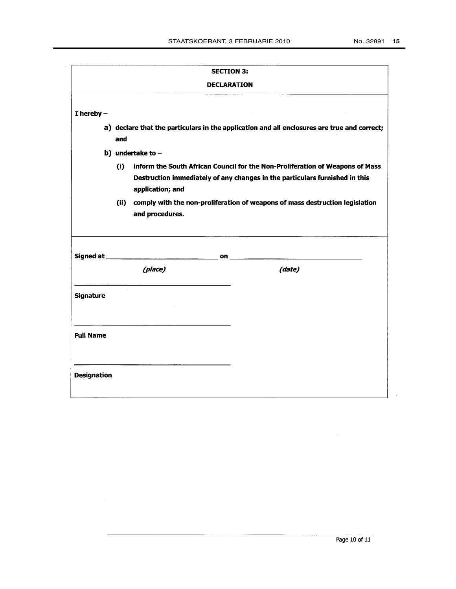|                  |                                                                                   | <b>SECTION 3:</b>  |                                                                                                                                                              |
|------------------|-----------------------------------------------------------------------------------|--------------------|--------------------------------------------------------------------------------------------------------------------------------------------------------------|
|                  |                                                                                   | <b>DECLARATION</b> |                                                                                                                                                              |
| $I$ hereby $-$   |                                                                                   |                    |                                                                                                                                                              |
|                  | and                                                                               |                    | a) declare that the particulars in the application and all enclosures are true and correct;                                                                  |
|                  | b) undertake to $-$                                                               |                    |                                                                                                                                                              |
|                  | (i)<br>application; and                                                           |                    | inform the South African Council for the Non-Proliferation of Weapons of Mass<br>Destruction immediately of any changes in the particulars furnished in this |
|                  | and procedures.                                                                   |                    | (ii) comply with the non-proliferation of weapons of mass destruction legislation                                                                            |
|                  |                                                                                   |                    |                                                                                                                                                              |
|                  |                                                                                   |                    |                                                                                                                                                              |
|                  | (place)                                                                           |                    | (date)                                                                                                                                                       |
| <b>Signature</b> | and the state of the state of the state of the state of the state of the state of |                    |                                                                                                                                                              |
| <b>Full Name</b> |                                                                                   |                    |                                                                                                                                                              |

 $\mathcal{A}^{\mathcal{A}}$